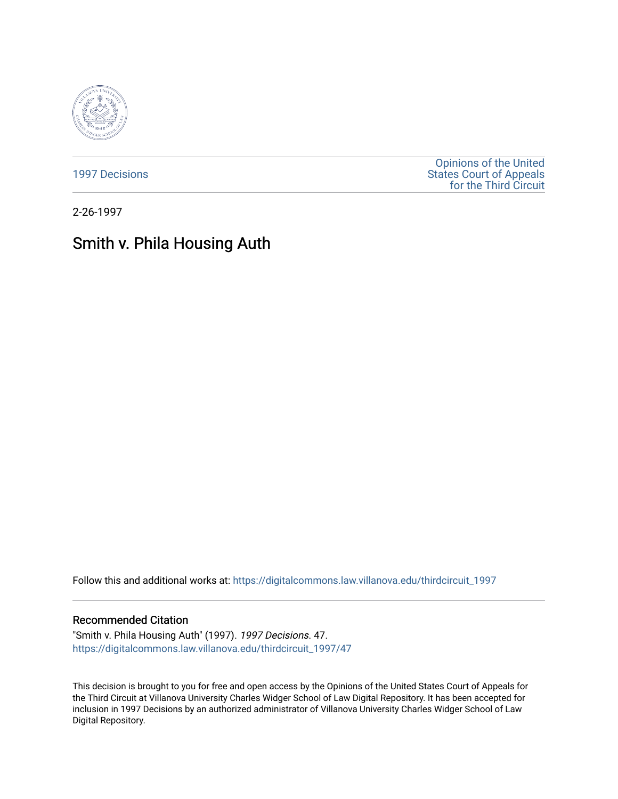

[1997 Decisions](https://digitalcommons.law.villanova.edu/thirdcircuit_1997)

[Opinions of the United](https://digitalcommons.law.villanova.edu/thirdcircuit)  [States Court of Appeals](https://digitalcommons.law.villanova.edu/thirdcircuit)  [for the Third Circuit](https://digitalcommons.law.villanova.edu/thirdcircuit) 

2-26-1997

# Smith v. Phila Housing Auth

Follow this and additional works at: [https://digitalcommons.law.villanova.edu/thirdcircuit\\_1997](https://digitalcommons.law.villanova.edu/thirdcircuit_1997?utm_source=digitalcommons.law.villanova.edu%2Fthirdcircuit_1997%2F47&utm_medium=PDF&utm_campaign=PDFCoverPages) 

# Recommended Citation

"Smith v. Phila Housing Auth" (1997). 1997 Decisions. 47. [https://digitalcommons.law.villanova.edu/thirdcircuit\\_1997/47](https://digitalcommons.law.villanova.edu/thirdcircuit_1997/47?utm_source=digitalcommons.law.villanova.edu%2Fthirdcircuit_1997%2F47&utm_medium=PDF&utm_campaign=PDFCoverPages)

This decision is brought to you for free and open access by the Opinions of the United States Court of Appeals for the Third Circuit at Villanova University Charles Widger School of Law Digital Repository. It has been accepted for inclusion in 1997 Decisions by an authorized administrator of Villanova University Charles Widger School of Law Digital Repository.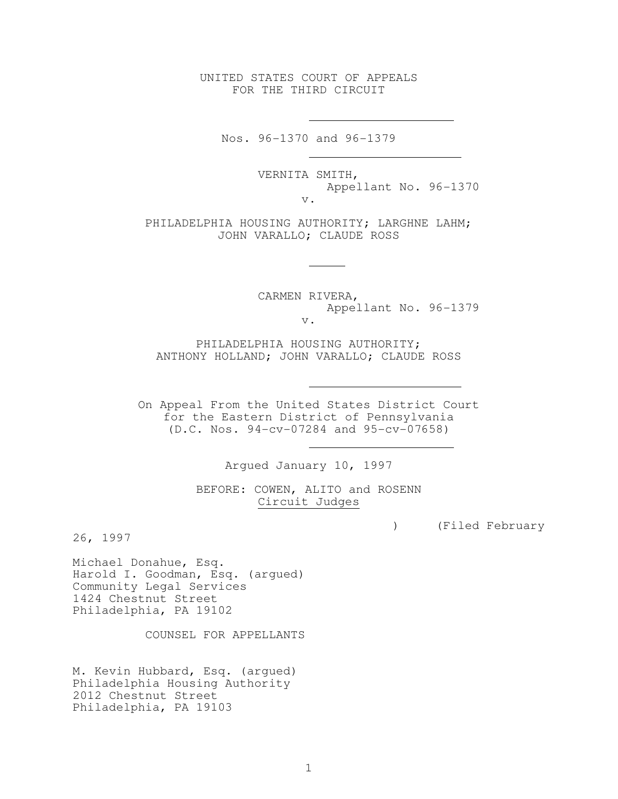UNITED STATES COURT OF APPEALS FOR THE THIRD CIRCUIT

Nos. 96-1370 and 96-1379

 VERNITA SMITH, Appellant No. 96-1370 v.

PHILADELPHIA HOUSING AUTHORITY; LARGHNE LAHM; JOHN VARALLO; CLAUDE ROSS

> CARMEN RIVERA, Appellant No. 96-1379 v.

 PHILADELPHIA HOUSING AUTHORITY; ANTHONY HOLLAND; JOHN VARALLO; CLAUDE ROSS

 On Appeal From the United States District Court for the Eastern District of Pennsylvania (D.C. Nos. 94-cv-07284 and 95-cv-07658)

Argued January 10, 1997

 BEFORE: COWEN, ALITO and ROSENN Circuit Judges

) (Filed February

26, 1997

Michael Donahue, Esq. Harold I. Goodman, Esq. (argued) Community Legal Services 1424 Chestnut Street Philadelphia, PA 19102

COUNSEL FOR APPELLANTS

M. Kevin Hubbard, Esq. (argued) Philadelphia Housing Authority 2012 Chestnut Street Philadelphia, PA 19103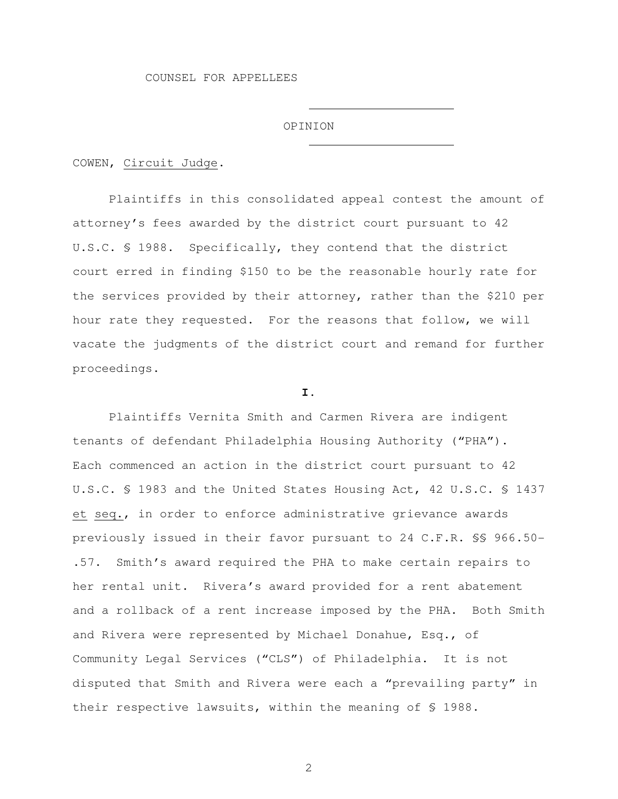#### OPINION

COWEN, Circuit Judge.

 Plaintiffs in this consolidated appeal contest the amount of attorney's fees awarded by the district court pursuant to 42 U.S.C. § 1988. Specifically, they contend that the district court erred in finding \$150 to be the reasonable hourly rate for the services provided by their attorney, rather than the \$210 per hour rate they requested. For the reasons that follow, we will vacate the judgments of the district court and remand for further proceedings.

## **I.**

 Plaintiffs Vernita Smith and Carmen Rivera are indigent tenants of defendant Philadelphia Housing Authority ("PHA"). Each commenced an action in the district court pursuant to 42 U.S.C. § 1983 and the United States Housing Act, 42 U.S.C. § 1437 et seq., in order to enforce administrative grievance awards previously issued in their favor pursuant to 24 C.F.R. §§ 966.50- .57. Smith's award required the PHA to make certain repairs to her rental unit. Rivera's award provided for a rent abatement and a rollback of a rent increase imposed by the PHA. Both Smith and Rivera were represented by Michael Donahue, Esq., of Community Legal Services ("CLS") of Philadelphia. It is not disputed that Smith and Rivera were each a "prevailing party" in their respective lawsuits, within the meaning of § 1988.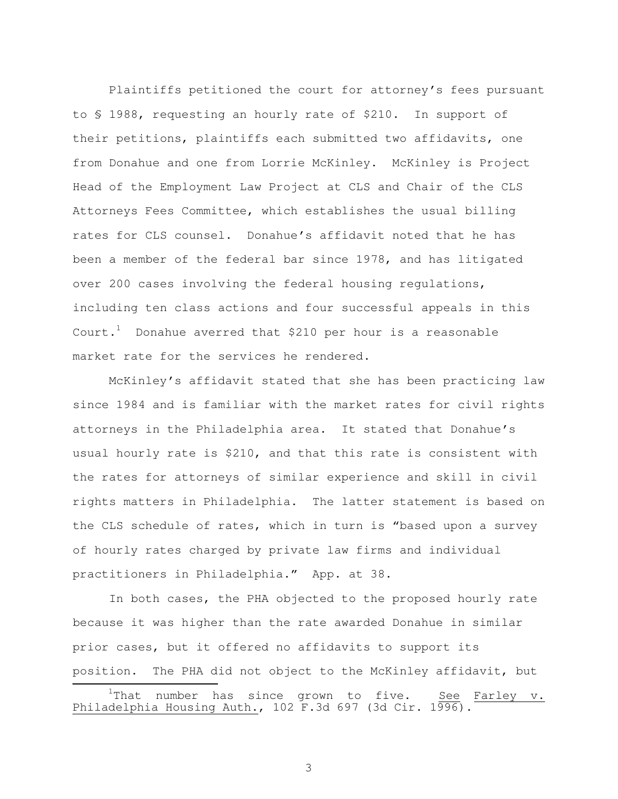Plaintiffs petitioned the court for attorney's fees pursuant to § 1988, requesting an hourly rate of \$210. In support of their petitions, plaintiffs each submitted two affidavits, one from Donahue and one from Lorrie McKinley. McKinley is Project Head of the Employment Law Project at CLS and Chair of the CLS Attorneys Fees Committee, which establishes the usual billing rates for CLS counsel. Donahue's affidavit noted that he has been a member of the federal bar since 1978, and has litigated over 200 cases involving the federal housing regulations, including ten class actions and four successful appeals in this Court.<sup>1</sup> Donahue averred that  $$210$  per hour is a reasonable market rate for the services he rendered.

 McKinley's affidavit stated that she has been practicing law since 1984 and is familiar with the market rates for civil rights attorneys in the Philadelphia area. It stated that Donahue's usual hourly rate is \$210, and that this rate is consistent with the rates for attorneys of similar experience and skill in civil rights matters in Philadelphia. The latter statement is based on the CLS schedule of rates, which in turn is "based upon a survey of hourly rates charged by private law firms and individual practitioners in Philadelphia." App. at 38.

 In both cases, the PHA objected to the proposed hourly rate because it was higher than the rate awarded Donahue in similar prior cases, but it offered no affidavits to support its position. The PHA did not object to the McKinley affidavit, but È,

 $1$ That number has since grown to five. See Farley v. Philadelphia Housing Auth.,  $102$  F.3d 697 (3d Cir.  $1996$ ).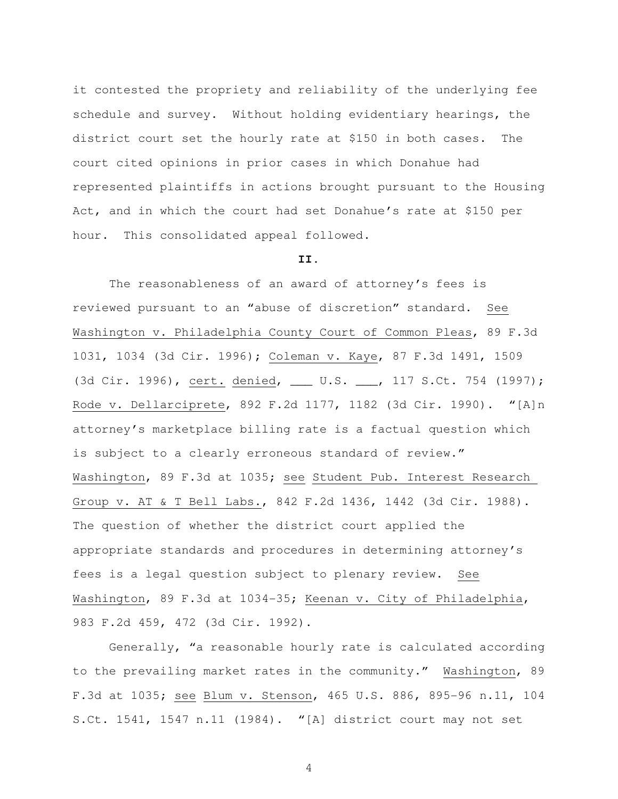it contested the propriety and reliability of the underlying fee schedule and survey. Without holding evidentiary hearings, the district court set the hourly rate at \$150 in both cases. The court cited opinions in prior cases in which Donahue had represented plaintiffs in actions brought pursuant to the Housing Act, and in which the court had set Donahue's rate at \$150 per hour. This consolidated appeal followed.

#### **II.**

 The reasonableness of an award of attorney's fees is reviewed pursuant to an "abuse of discretion" standard. See Washington v. Philadelphia County Court of Common Pleas, 89 F.3d 1031, 1034 (3d Cir. 1996); Coleman v. Kaye, 87 F.3d 1491, 1509 (3d Cir. 1996), cert. denied, \_\_\_ U.S. \_\_\_, 117 S.Ct. 754 (1997); Rode v. Dellarciprete, 892 F.2d 1177, 1182 (3d Cir. 1990). "[A]n attorney's marketplace billing rate is a factual question which is subject to a clearly erroneous standard of review." Washington, 89 F.3d at 1035; see Student Pub. Interest Research Group v. AT & T Bell Labs., 842 F.2d 1436, 1442 (3d Cir. 1988). The question of whether the district court applied the appropriate standards and procedures in determining attorney's fees is a legal question subject to plenary review. See Washington, 89 F.3d at 1034-35; Keenan v. City of Philadelphia, 983 F.2d 459, 472 (3d Cir. 1992).

 Generally, "a reasonable hourly rate is calculated according to the prevailing market rates in the community." Washington, 89 F.3d at 1035; see Blum v. Stenson, 465 U.S. 886, 895-96 n.11, 104 S.Ct. 1541, 1547 n.11 (1984). "[A] district court may not set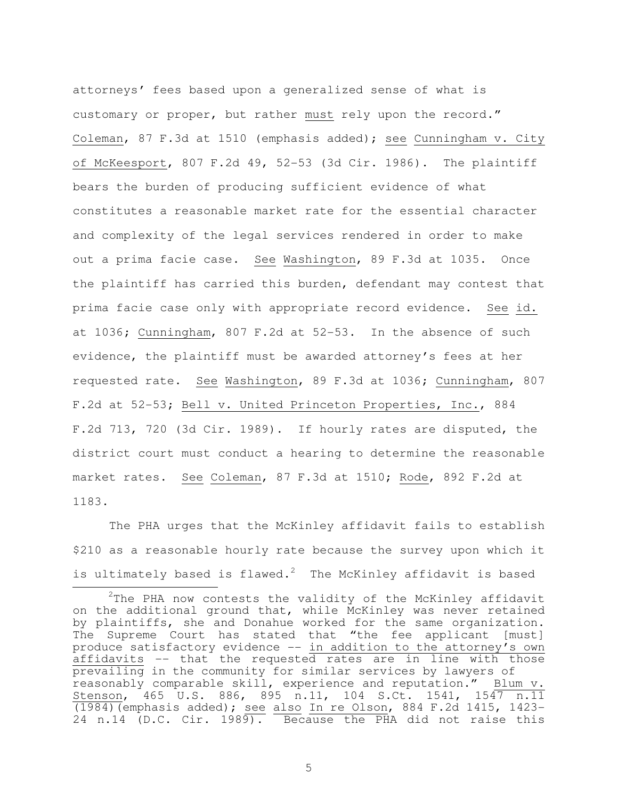attorneys' fees based upon a generalized sense of what is customary or proper, but rather must rely upon the record." Coleman, 87 F.3d at 1510 (emphasis added); see Cunningham v. City of McKeesport, 807 F.2d 49, 52-53 (3d Cir. 1986). The plaintiff bears the burden of producing sufficient evidence of what constitutes a reasonable market rate for the essential character and complexity of the legal services rendered in order to make out a prima facie case. See Washington, 89 F.3d at 1035. Once the plaintiff has carried this burden, defendant may contest that prima facie case only with appropriate record evidence. See id. at 1036; Cunningham, 807 F.2d at 52-53. In the absence of such evidence, the plaintiff must be awarded attorney's fees at her requested rate. See Washington, 89 F.3d at 1036; Cunningham, 807 F.2d at 52-53; Bell v. United Princeton Properties, Inc., 884 F.2d 713, 720 (3d Cir. 1989). If hourly rates are disputed, the district court must conduct a hearing to determine the reasonable market rates. See Coleman, 87 F.3d at 1510; Rode, 892 F.2d at 1183.

 The PHA urges that the McKinley affidavit fails to establish \$210 as a reasonable hourly rate because the survey upon which it is ultimately based is flawed.<sup>2</sup> The McKinley affidavit is based È,

 $2$ The PHA now contests the validity of the McKinley affidavit on the additional ground that, while McKinley was never retained by plaintiffs, she and Donahue worked for the same organization. The Supreme Court has stated that "the fee applicant [must] produce satisfactory evidence -- in addition to the attorney's own affidavits -- that the requested rates are in line with those prevailing in the community for similar services by lawyers of reasonably comparable skill, experience and reputation." Blum v. Stenson, 465 U.S. 886, 895 n.11, 104 S.Ct. 1541, 1547 n.11 (1984)(emphasis added); see also In re Olson, 884 F.2d 1415, 1423- 24 n.14 (D.C. Cir. 1989). Because the PHA did not raise this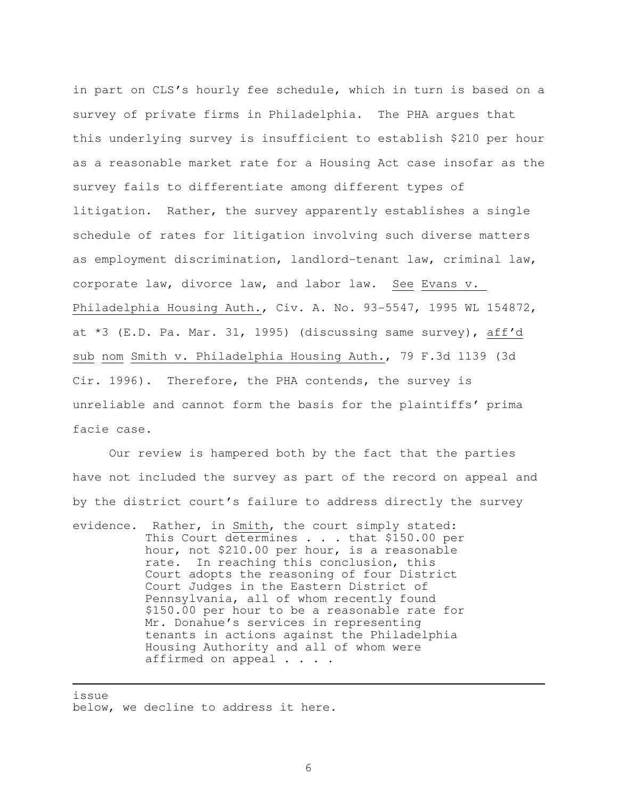in part on CLS's hourly fee schedule, which in turn is based on a survey of private firms in Philadelphia. The PHA argues that this underlying survey is insufficient to establish \$210 per hour as a reasonable market rate for a Housing Act case insofar as the survey fails to differentiate among different types of litigation. Rather, the survey apparently establishes a single schedule of rates for litigation involving such diverse matters as employment discrimination, landlord-tenant law, criminal law, corporate law, divorce law, and labor law. See Evans v. Philadelphia Housing Auth., Civ. A. No. 93-5547, 1995 WL 154872, at \*3 (E.D. Pa. Mar. 31, 1995) (discussing same survey), aff'd sub nom Smith v. Philadelphia Housing Auth., 79 F.3d 1139 (3d Cir. 1996). Therefore, the PHA contends, the survey is unreliable and cannot form the basis for the plaintiffs' prima facie case.

 Our review is hampered both by the fact that the parties have not included the survey as part of the record on appeal and by the district court's failure to address directly the survey evidence. Rather, in Smith, the court simply stated: This Court determines . . . that \$150.00 per hour, not \$210.00 per hour, is a reasonable rate. In reaching this conclusion, this Court adopts the reasoning of four District Court Judges in the Eastern District of Pennsylvania, all of whom recently found \$150.00 per hour to be a reasonable rate for Mr. Donahue's services in representing tenants in actions against the Philadelphia Housing Authority and all of whom were affirmed on appeal . . . .

issue

È,

below, we decline to address it here.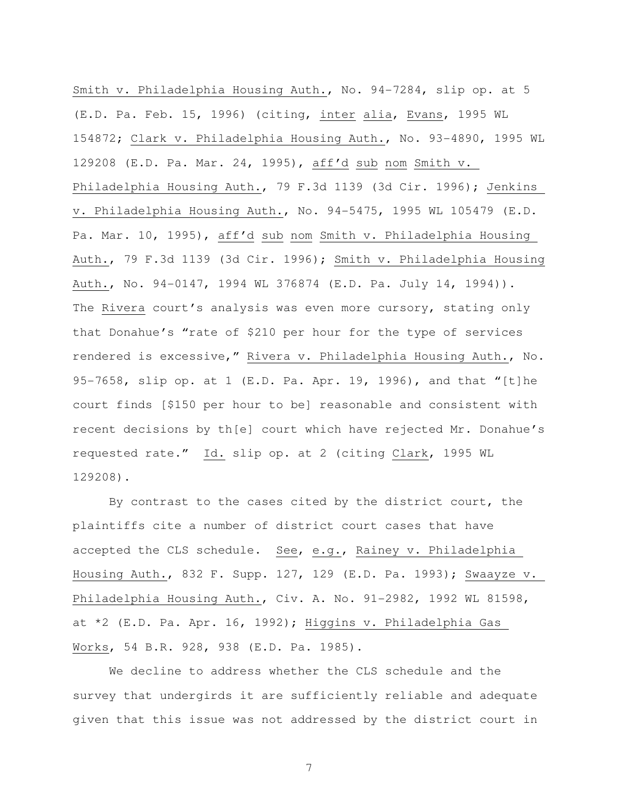Smith v. Philadelphia Housing Auth., No. 94-7284, slip op. at 5 (E.D. Pa. Feb. 15, 1996) (citing, inter alia, Evans, 1995 WL 154872; Clark v. Philadelphia Housing Auth., No. 93-4890, 1995 WL 129208 (E.D. Pa. Mar. 24, 1995), aff'd sub nom Smith v. Philadelphia Housing Auth., 79 F.3d 1139 (3d Cir. 1996); Jenkins v. Philadelphia Housing Auth., No. 94-5475, 1995 WL 105479 (E.D. Pa. Mar. 10, 1995), aff'd sub nom Smith v. Philadelphia Housing Auth., 79 F.3d 1139 (3d Cir. 1996); Smith v. Philadelphia Housing Auth., No. 94-0147, 1994 WL 376874 (E.D. Pa. July 14, 1994)). The Rivera court's analysis was even more cursory, stating only that Donahue's "rate of \$210 per hour for the type of services rendered is excessive," Rivera v. Philadelphia Housing Auth., No. 95-7658, slip op. at 1 (E.D. Pa. Apr. 19, 1996), and that "[t]he court finds [\$150 per hour to be] reasonable and consistent with recent decisions by th[e] court which have rejected Mr. Donahue's requested rate." Id. slip op. at 2 (citing Clark, 1995 WL 129208).

 By contrast to the cases cited by the district court, the plaintiffs cite a number of district court cases that have accepted the CLS schedule. See, e.g., Rainey v. Philadelphia Housing Auth., 832 F. Supp. 127, 129 (E.D. Pa. 1993); Swaayze v. Philadelphia Housing Auth., Civ. A. No. 91-2982, 1992 WL 81598, at \*2 (E.D. Pa. Apr. 16, 1992); Higgins v. Philadelphia Gas Works, 54 B.R. 928, 938 (E.D. Pa. 1985).

 We decline to address whether the CLS schedule and the survey that undergirds it are sufficiently reliable and adequate given that this issue was not addressed by the district court in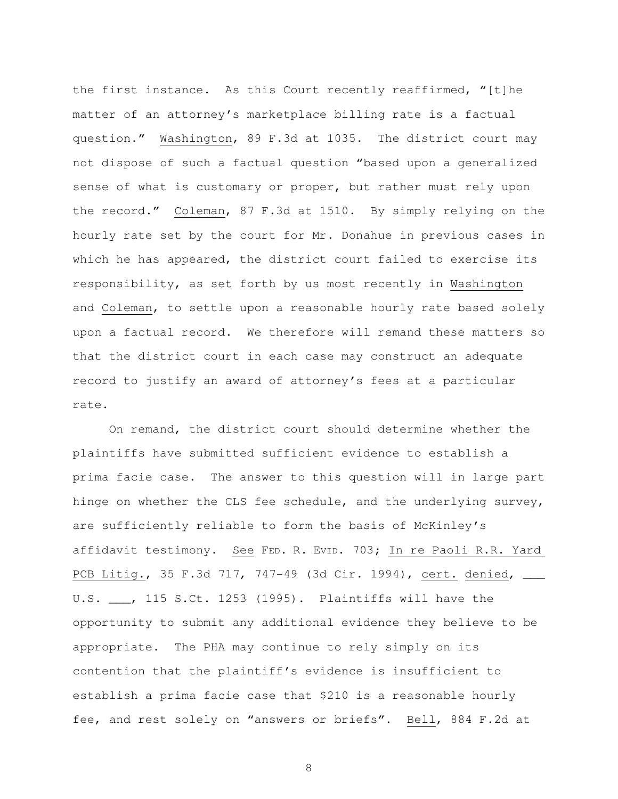the first instance. As this Court recently reaffirmed, "[t]he matter of an attorney's marketplace billing rate is a factual question." Washington, 89 F.3d at 1035. The district court may not dispose of such a factual question "based upon a generalized sense of what is customary or proper, but rather must rely upon the record." Coleman, 87 F.3d at 1510. By simply relying on the hourly rate set by the court for Mr. Donahue in previous cases in which he has appeared, the district court failed to exercise its responsibility, as set forth by us most recently in Washington and Coleman, to settle upon a reasonable hourly rate based solely upon a factual record. We therefore will remand these matters so that the district court in each case may construct an adequate record to justify an award of attorney's fees at a particular rate.

 On remand, the district court should determine whether the plaintiffs have submitted sufficient evidence to establish a prima facie case. The answer to this question will in large part hinge on whether the CLS fee schedule, and the underlying survey, are sufficiently reliable to form the basis of McKinley's affidavit testimony. See FED. R. EVID. 703; In re Paoli R.R. Yard PCB Litig., 35 F.3d 717, 747-49 (3d Cir. 1994), cert. denied, \_\_\_ U.S. \_\_\_, 115 S.Ct. 1253 (1995). Plaintiffs will have the opportunity to submit any additional evidence they believe to be appropriate. The PHA may continue to rely simply on its contention that the plaintiff's evidence is insufficient to establish a prima facie case that \$210 is a reasonable hourly fee, and rest solely on "answers or briefs". Bell, 884 F.2d at